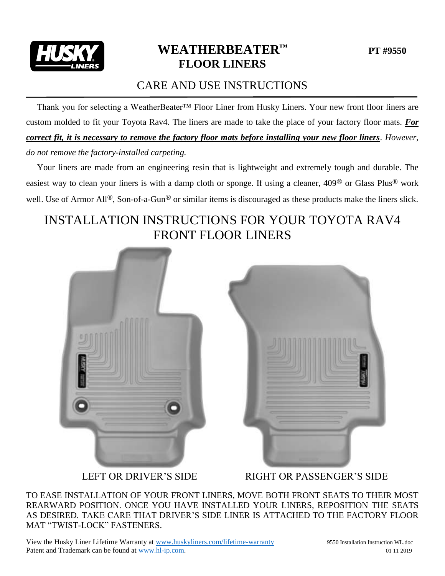

## **WEATHERBEATER™ PT #9550 FLOOR LINERS**

#### CARE AND USE INSTRUCTIONS

 Thank you for selecting a WeatherBeater™ Floor Liner from Husky Liners. Your new front floor liners are custom molded to fit your Toyota Rav4. The liners are made to take the place of your factory floor mats. *For correct fit, it is necessary to remove the factory floor mats before installing your new floor liners*. *However, do not remove the factory-installed carpeting.*

 Your liners are made from an engineering resin that is lightweight and extremely tough and durable. The easiest way to clean your liners is with a damp cloth or sponge. If using a cleaner, 409® or Glass Plus® work well. Use of Armor All<sup>®</sup>, Son-of-a-Gun<sup>®</sup> or similar items is discouraged as these products make the liners slick.

## INSTALLATION INSTRUCTIONS FOR YOUR TOYOTA RAV4 FRONT FLOOR LINERS





LEFT OR DRIVER'S SIDE RIGHT OR PASSENGER'S SIDE

TO EASE INSTALLATION OF YOUR FRONT LINERS, MOVE BOTH FRONT SEATS TO THEIR MOST REARWARD POSITION. ONCE YOU HAVE INSTALLED YOUR LINERS, REPOSITION THE SEATS AS DESIRED. TAKE CARE THAT DRIVER'S SIDE LINER IS ATTACHED TO THE FACTORY FLOOR MAT "TWIST-LOCK" FASTENERS.